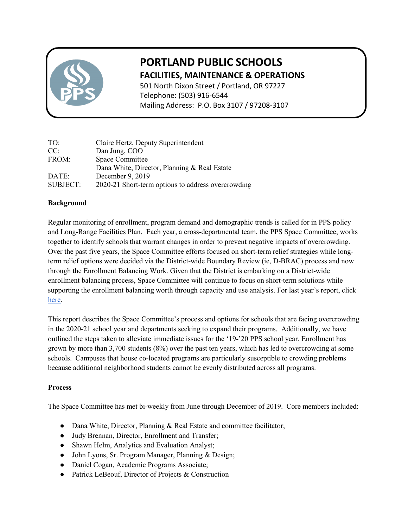

# **PORTLAND PUBLIC SCHOOLS FACILITIES, MAINTENANCE & OPERATIONS**

501 North Dixon Street / Portland, OR 97227 Telephone: (503) 916-6544 Mailing Address: P.O. Box 3107 / 97208-3107

| TO:             | Claire Hertz, Deputy Superintendent                |
|-----------------|----------------------------------------------------|
| CC:             | Dan Jung, COO                                      |
| FROM:           | Space Committee                                    |
|                 | Dana White, Director, Planning & Real Estate       |
| DATE:           | December 9, 2019                                   |
| <b>SUBJECT:</b> | 2020-21 Short-term options to address overcrowding |

### **Background**

Regular monitoring of enrollment, program demand and demographic trends is called for in PPS policy and Long-Range Facilities Plan. Each year, a cross-departmental team, the PPS Space Committee, works together to identify schools that warrant changes in order to prevent negative impacts of overcrowding. Over the past five years, the Space Committee efforts focused on short-term relief strategies while longterm relief options were decided via the District-wide Boundary Review (ie, D-BRAC) process and now through the Enrollment Balancing Work. Given that the District is embarking on a District-wide enrollment balancing process, Space Committee will continue to focus on short-term solutions while supporting the enrollment balancing worth through capacity and use analysis. For last year's report, click [here.](https://docs.google.com/document/d/1D5QKWlj-ARjqLpZwrP3tG0W_DrYCfIR9r5r4-r-Lf_A/edit)

This report describes the Space Committee's process and options for schools that are facing overcrowding in the 2020-21 school year and departments seeking to expand their programs. Additionally, we have outlined the steps taken to alleviate immediate issues for the '19-'20 PPS school year. Enrollment has grown by more than 3,700 students (8%) over the past ten years, which has led to overcrowding at some schools. Campuses that house co-located programs are particularly susceptible to crowding problems because additional neighborhood students cannot be evenly distributed across all programs.

#### **Process**

The Space Committee has met bi-weekly from June through December of 2019. Core members included:

- Dana White, Director, Planning & Real Estate and committee facilitator;
- Judy Brennan, Director, Enrollment and Transfer;
- Shawn Helm, Analytics and Evaluation Analyst;
- John Lyons, Sr. Program Manager, Planning & Design;
- Daniel Cogan, Academic Programs Associate;
- Patrick LeBeouf, Director of Projects & Construction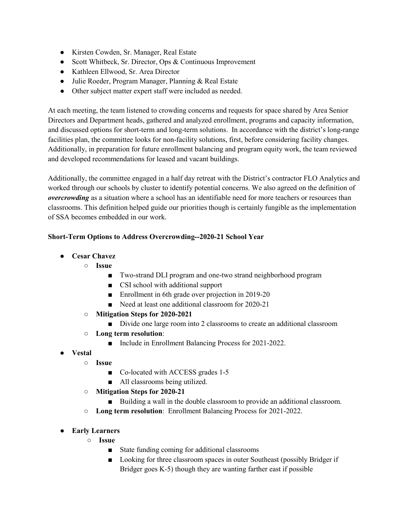- Kirsten Cowden, Sr. Manager, Real Estate
- Scott Whitbeck, Sr. Director, Ops & Continuous Improvement
- Kathleen Ellwood, Sr. Area Director
- Julie Roeder, Program Manager, Planning & Real Estate
- Other subject matter expert staff were included as needed.

At each meeting, the team listened to crowding concerns and requests for space shared by Area Senior Directors and Department heads, gathered and analyzed enrollment, programs and capacity information, and discussed options for short-term and long-term solutions. In accordance with the district's long-range facilities plan, the committee looks for non-facility solutions, first, before considering facility changes. Additionally, in preparation for future enrollment balancing and program equity work, the team reviewed and developed recommendations for leased and vacant buildings.

Additionally, the committee engaged in a half day retreat with the District's contractor FLO Analytics and worked through our schools by cluster to identify potential concerns. We also agreed on the definition of *overcrowding* as a situation where a school has an identifiable need for more teachers or resources than classrooms. This definition helped guide our priorities though is certainly fungible as the implementation of SSA becomes embedded in our work.

#### **Short-Term Options to Address Overcrowding--2020-21 School Year**

- **Cesar Chavez**
	- **Issue**
		- Two-strand DLI program and one-two strand neighborhood program
		- CSI school with additional support
		- Enrollment in 6th grade over projection in 2019-20
		- Need at least one additional classroom for 2020-21
	- **Mitigation Steps for 2020-2021**
		- Divide one large room into 2 classrooms to create an additional classroom
	- **Long term resolution**:
		- Include in Enrollment Balancing Process for 2021-2022.
- **Vestal**
	- **Issue**
		- Co-located with ACCESS grades 1-5
		- All classrooms being utilized.
	- **Mitigation Steps for 2020-21**
		- Building a wall in the double classroom to provide an additional classroom.
	- **Long term resolution**: Enrollment Balancing Process for 2021-2022.
- **Early Learners**
	- **Issue**
		- State funding coming for additional classrooms
		- Looking for three classroom spaces in outer Southeast (possibly Bridger if Bridger goes K-5) though they are wanting farther east if possible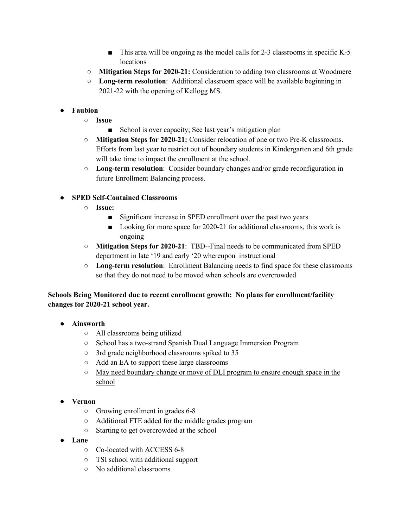- $\blacksquare$  This area will be ongoing as the model calls for 2-3 classrooms in specific K-5 locations
- **Mitigation Steps for 2020-21:** Consideration to adding two classrooms at Woodmere
- **Long-term resolution**: Additional classroom space will be available beginning in 2021-22 with the opening of Kellogg MS.
- **Faubion**
	- **Issue**
		- School is over capacity; See last year's mitigation plan
	- **Mitigation Steps for 2020-21:** Consider relocation of one or two Pre-K classrooms. Efforts from last year to restrict out of boundary students in Kindergarten and 6th grade will take time to impact the enrollment at the school.
	- **Long-term resolution**: Consider boundary changes and/or grade reconfiguration in future Enrollment Balancing process.

#### ● **SPED Self-Contained Classrooms**

- **Issue:**
	- Significant increase in SPED enrollment over the past two years
	- Looking for more space for 2020-21 for additional classrooms, this work is ongoing
- **Mitigation Steps for 2020-21**: TBD--Final needs to be communicated from SPED department in late '19 and early '20 whereupon instructional
- **Long-term resolution**: Enrollment Balancing needs to find space for these classrooms so that they do not need to be moved when schools are overcrowded

## **Schools Being Monitored due to recent enrollment growth: No plans for enrollment/facility changes for 2020-21 school year.**

- **Ainsworth**
	- All classrooms being utilized
	- School has a two-strand Spanish Dual Language Immersion Program
	- 3rd grade neighborhood classrooms spiked to 35
	- Add an EA to support these large classrooms
	- May need boundary change or move of DLI program to ensure enough space in the school
- **Vernon**
	- Growing enrollment in grades 6-8
	- Additional FTE added for the middle grades program
	- Starting to get overcrowded at the school
- **Lane**
	- Co-located with ACCESS 6-8
	- TSI school with additional support
	- No additional classrooms